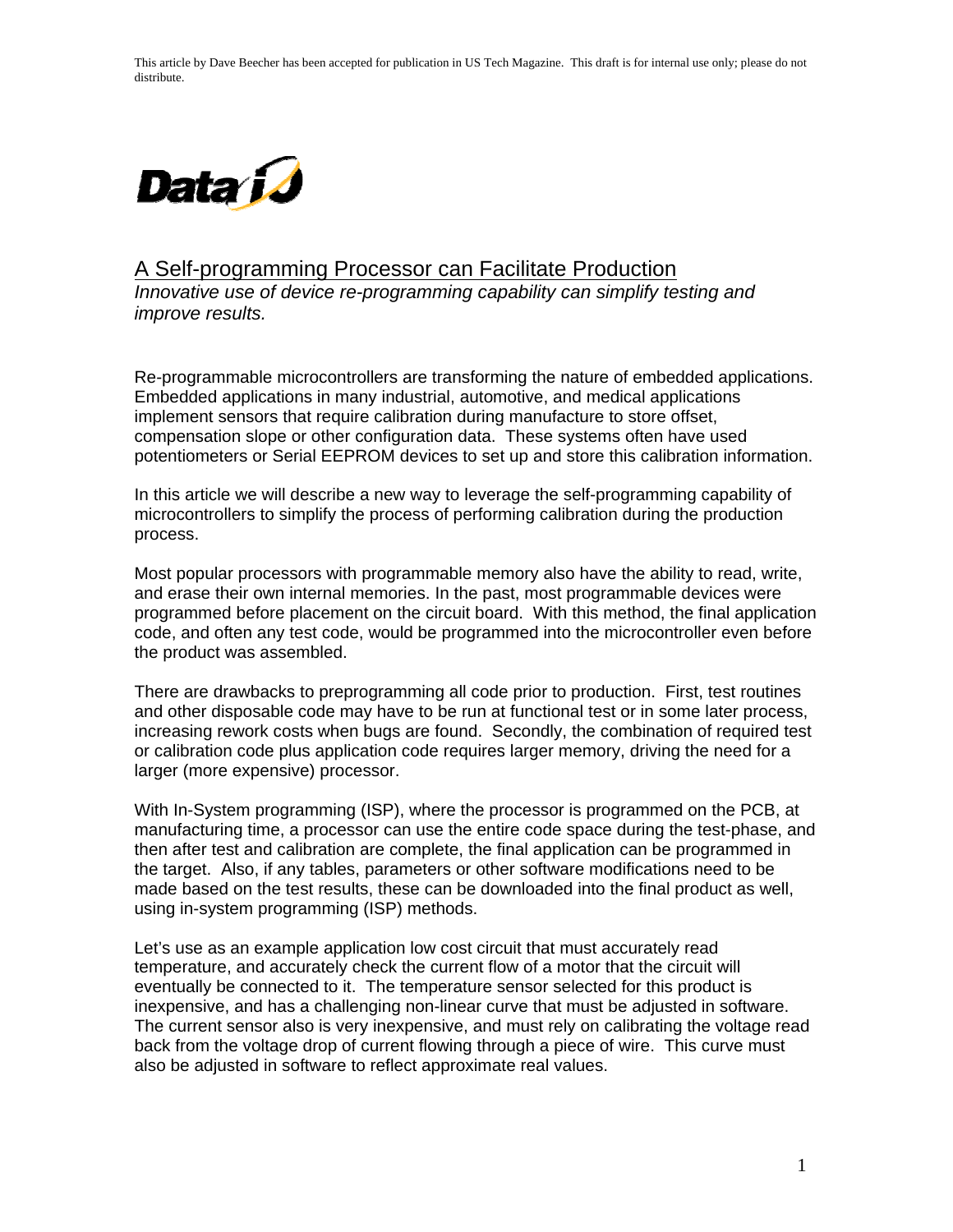This article by Dave Beecher has been accepted for publication in US Tech Magazine. This draft is for internal use only; please do not distribute.



## A Self-programming Processor can Facilitate Production

*Innovative use of device re-programming capability can simplify testing and improve results.* 

Re-programmable microcontrollers are transforming the nature of embedded applications. Embedded applications in many industrial, automotive, and medical applications implement sensors that require calibration during manufacture to store offset, compensation slope or other configuration data. These systems often have used potentiometers or Serial EEPROM devices to set up and store this calibration information.

In this article we will describe a new way to leverage the self-programming capability of microcontrollers to simplify the process of performing calibration during the production process.

Most popular processors with programmable memory also have the ability to read, write, and erase their own internal memories. In the past, most programmable devices were programmed before placement on the circuit board. With this method, the final application code, and often any test code, would be programmed into the microcontroller even before the product was assembled.

There are drawbacks to preprogramming all code prior to production. First, test routines and other disposable code may have to be run at functional test or in some later process, increasing rework costs when bugs are found. Secondly, the combination of required test or calibration code plus application code requires larger memory, driving the need for a larger (more expensive) processor.

With In-System programming (ISP), where the processor is programmed on the PCB, at manufacturing time, a processor can use the entire code space during the test-phase, and then after test and calibration are complete, the final application can be programmed in the target. Also, if any tables, parameters or other software modifications need to be made based on the test results, these can be downloaded into the final product as well, using in-system programming (ISP) methods.

Let's use as an example application low cost circuit that must accurately read temperature, and accurately check the current flow of a motor that the circuit will eventually be connected to it. The temperature sensor selected for this product is inexpensive, and has a challenging non-linear curve that must be adjusted in software. The current sensor also is very inexpensive, and must rely on calibrating the voltage read back from the voltage drop of current flowing through a piece of wire. This curve must also be adjusted in software to reflect approximate real values.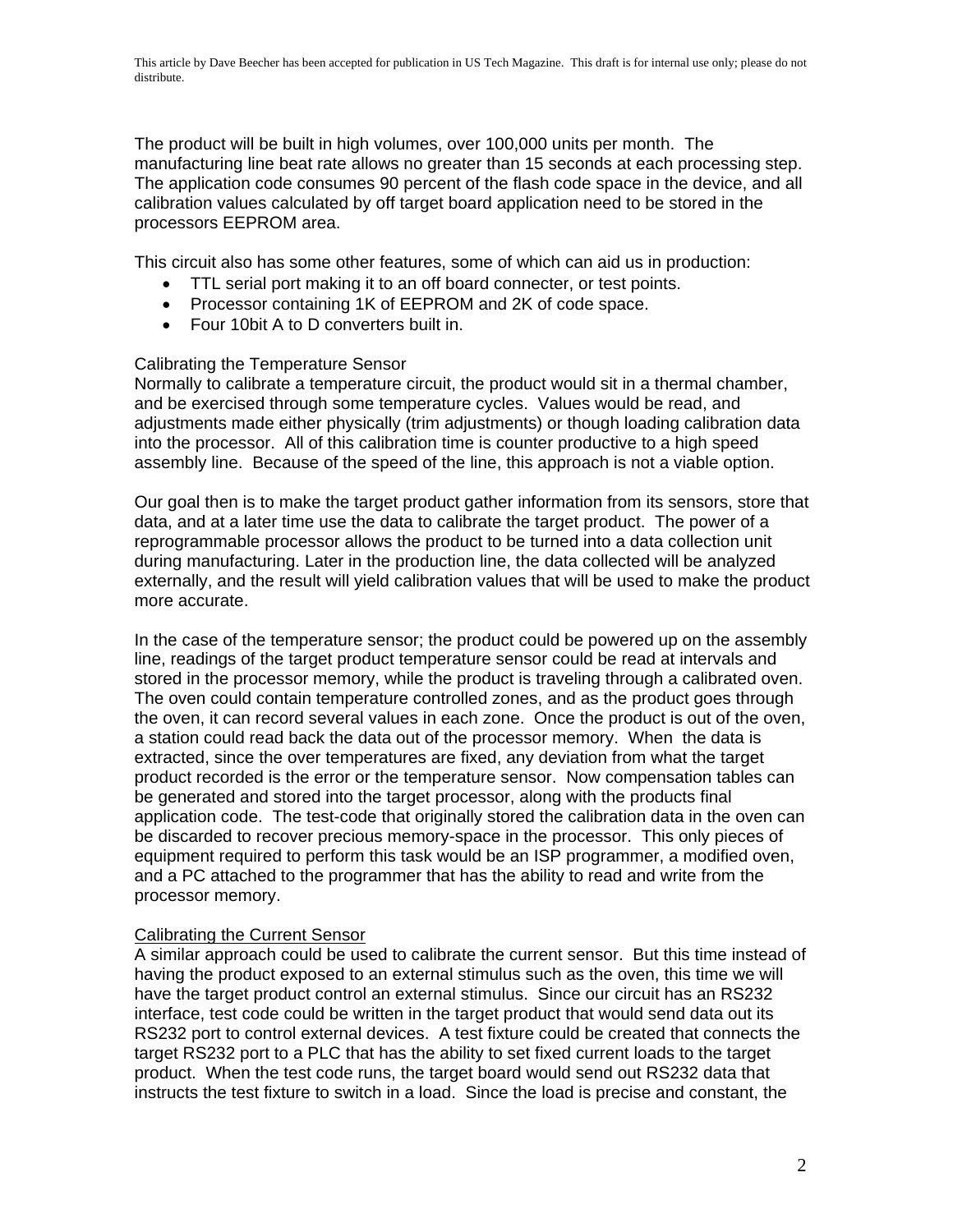The product will be built in high volumes, over 100,000 units per month. The manufacturing line beat rate allows no greater than 15 seconds at each processing step. The application code consumes 90 percent of the flash code space in the device, and all calibration values calculated by off target board application need to be stored in the processors EEPROM area.

This circuit also has some other features, some of which can aid us in production:

- TTL serial port making it to an off board connecter, or test points.
- Processor containing 1K of EEPROM and 2K of code space.
- Four 10bit A to D converters built in.

## Calibrating the Temperature Sensor

Normally to calibrate a temperature circuit, the product would sit in a thermal chamber, and be exercised through some temperature cycles. Values would be read, and adjustments made either physically (trim adjustments) or though loading calibration data into the processor. All of this calibration time is counter productive to a high speed assembly line. Because of the speed of the line, this approach is not a viable option.

Our goal then is to make the target product gather information from its sensors, store that data, and at a later time use the data to calibrate the target product. The power of a reprogrammable processor allows the product to be turned into a data collection unit during manufacturing. Later in the production line, the data collected will be analyzed externally, and the result will yield calibration values that will be used to make the product more accurate.

In the case of the temperature sensor; the product could be powered up on the assembly line, readings of the target product temperature sensor could be read at intervals and stored in the processor memory, while the product is traveling through a calibrated oven. The oven could contain temperature controlled zones, and as the product goes through the oven, it can record several values in each zone. Once the product is out of the oven, a station could read back the data out of the processor memory. When the data is extracted, since the over temperatures are fixed, any deviation from what the target product recorded is the error or the temperature sensor. Now compensation tables can be generated and stored into the target processor, along with the products final application code. The test-code that originally stored the calibration data in the oven can be discarded to recover precious memory-space in the processor. This only pieces of equipment required to perform this task would be an ISP programmer, a modified oven, and a PC attached to the programmer that has the ability to read and write from the processor memory.

## Calibrating the Current Sensor

A similar approach could be used to calibrate the current sensor. But this time instead of having the product exposed to an external stimulus such as the oven, this time we will have the target product control an external stimulus. Since our circuit has an RS232 interface, test code could be written in the target product that would send data out its RS232 port to control external devices. A test fixture could be created that connects the target RS232 port to a PLC that has the ability to set fixed current loads to the target product. When the test code runs, the target board would send out RS232 data that instructs the test fixture to switch in a load. Since the load is precise and constant, the